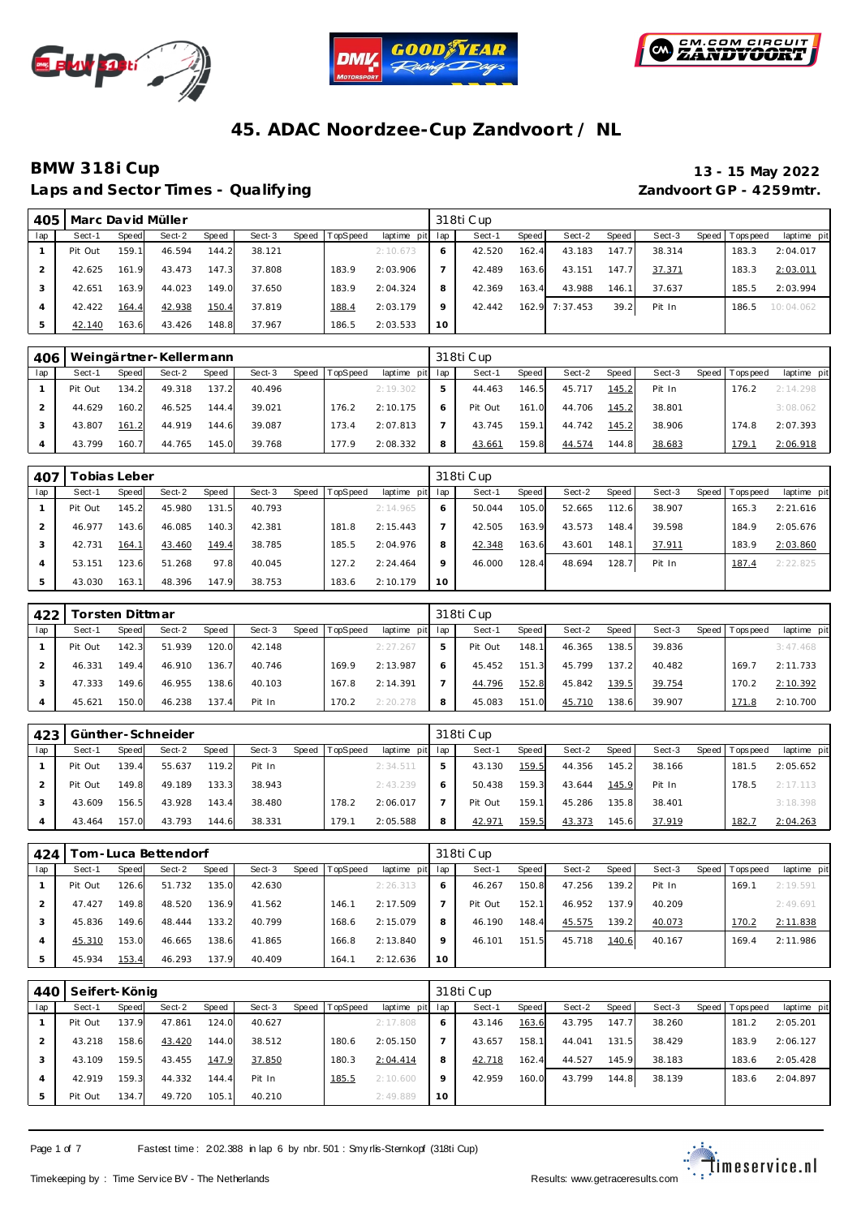





Laps and Sector Times - Qualifying *Laps and Sector Times - Qualifying* **Zandvoort GP - 4259mtr.** 

# **BMW 318i Cup 13 - 15 May 2022**

| 405 | Marc David Müller |       |        |       |        |       |          |                 |         | 318ti Cup |       |          |       |        |                   |             |
|-----|-------------------|-------|--------|-------|--------|-------|----------|-----------------|---------|-----------|-------|----------|-------|--------|-------------------|-------------|
| lap | Sect-1            | Speed | Sect-2 | Speed | Sect-3 | Speed | TopSpeed | laptime pit lap |         | Sect-1    | Speed | Sect-2   | Speed | Sect-3 | Speed   Tops peed | laptime pit |
|     | Pit Out           | 159.1 | 46.594 | 144.2 | 38.121 |       |          | 2:10.673        | 6       | 42.520    | 162.4 | 43.183   | 147.7 | 38.314 | 183.3             | 2:04.017    |
|     | 42.625            | 161.9 | 43.473 | 147.3 | 37.808 |       | 183.9    | 2:03.906        |         | 42.489    | 163.6 | 43.151   | 147.7 | 37.371 | 183.3             | 2:03.011    |
|     | 42.651            | 163.9 | 44.023 | 149.0 | 37.650 |       | 183.9    | 2:04.324        | 8       | 42.369    | 163.4 | 43.988   | 146.1 | 37.637 | 185.5             | 2:03.994    |
|     | 42.422            | 164.4 | 42.938 | 150.4 | 37.819 |       | 188.4    | 2:03.179        | $\circ$ | 42.442    | 162.9 | 7:37.453 | 39.2  | Pit In | 186.5             | 10:04.062   |
|     | 42.140            | 163.6 | 43.426 | 148.8 | 37.967 |       | 186.5    | 2:03.533        | 10      |           |       |          |       |        |                   |             |

| 406 |         |       | Weingärtner-Kellermann |       |        |       |          |             |     | 318ti Cup |       |        |       |        |                 |             |
|-----|---------|-------|------------------------|-------|--------|-------|----------|-------------|-----|-----------|-------|--------|-------|--------|-----------------|-------------|
| lap | Sect-1  | Speed | Sect-2                 | Speed | Sect-3 | Speed | TopSpeed | laptime pit | lap | Sect-1    | Speed | Sect-2 | Speed | Sect-3 | Speed Tops peed | laptime pit |
|     | Pit Out | 134.2 | 49.318                 | 137.2 | 40.496 |       |          | 2:19.302    | 5   | 44.463    | 146.5 | 45.717 | 145.2 | Pit In | 176.2           | 2:14.298    |
|     | 44.629  | 160.2 | 46.525                 | 144.4 | 39.021 |       | 176.2    | 2:10.175    | 6   | Pit Out   | 161.0 | 44.706 | 145.2 | 38.801 |                 | 3:08.062    |
|     | 43.807  | 161.2 | 44.919                 | 144.6 | 39.087 |       | 173.4    | 2:07.813    |     | 43.745    | 159.1 | 44.742 | 145.2 | 38.906 | 174.8           | 2:07.393    |
|     | 43.799  | 160.7 | 44.765                 | 145.0 | 39.768 |       | 77.9     | 2:08.332    | 8   | 43.661    | 159.8 | 44.574 | 144.8 | 38.683 | 179.1           | 2:06.918    |

| 407 |         | obias Leber |        |              |        |       |          |                 |         | 318ti Cup |       |        |       |        |                |             |
|-----|---------|-------------|--------|--------------|--------|-------|----------|-----------------|---------|-----------|-------|--------|-------|--------|----------------|-------------|
| lap | Sect-1  | Speed       | Sect-2 | <b>Speed</b> | Sect-3 | Speed | TopSpeed | laptime pit lap |         | Sect-1    | Speed | Sect-2 | Speed | Sect-3 | Speed Topspeed | laptime pit |
|     | Pit Out | 145.2       | 45.980 | 131.5        | 40.793 |       |          | 2:14.965        | 6       | 50.044    | 105.0 | 52.665 | 112.6 | 38.907 | 165.3          | 2:21.616    |
|     | 46.977  | 143.6       | 46.085 | 140.3        | 42.381 |       | 181.8    | 2:15.443        |         | 42.505    | 163.9 | 43.573 | 148.4 | 39.598 | 184.9          | 2:05.676    |
|     | 42.731  | 164.1       | 43.460 | 149.4        | 38.785 |       | 185.5    | 2:04.976        | 8       | 42.348    | 163.6 | 43.601 | 148.7 | 37.911 | 183.9          | 2:03.860    |
|     | 53.151  | 123.6       | 51.268 | 97.8         | 40.045 |       | 127.2    | 2:24.464        | $\circ$ | 46.000    | 128.4 | 48.694 | 128.  | Pit In | 187.4          | 2:22.825    |
|     | 43.030  | 163.1       | 48.396 | 147.9        | 38.753 |       | 183.6    | 2:10.179        | 10      |           |       |        |       |        |                |             |

| 422 |         | Forsten Dittmar |        |              |        |                |             |     | 318ti Cup |              |        |       |        |       |            |             |
|-----|---------|-----------------|--------|--------------|--------|----------------|-------------|-----|-----------|--------------|--------|-------|--------|-------|------------|-------------|
| lap | Sect-1  | Speed           | Sect-2 | <b>Speed</b> | Sect-3 | Speed TopSpeed | laptime pit | lap | Sect-1    | <b>Speed</b> | Sect-2 | Speed | Sect-3 | Speed | Tops pee d | laptime pit |
|     | Pit Out | 142.3           | 51.939 | 120.0        | 42.148 |                | 2: 27.267   | ь   | Pit Out   | 148.1        | 46.365 | 138.5 | 39.836 |       |            | 3:47.468    |
|     | 46.331  | 149.4           | 46.910 | 136.7        | 40.746 | 169.9          | 2:13.987    | 6   | 45.452    | 151.3        | 45.799 | 137.2 | 40.482 |       | 169.7      | 2:11.733    |
|     | 47.333  | 149.6           | 46.955 | 138.6        | 40.103 | 167.8          | 2:14.391    |     | 44.796    | 152.8        | 45.842 | 139.5 | 39.754 |       | 170.2      | 2:10.392    |
|     | 45.621  | 150.0           | 46.238 | 137.4        | Pit In | 170.2          | 2:20.278    | 8   | 45.083    | 151.0        | 45.710 | 138.6 | 39.907 |       | 171.8      | 2:10.700    |

| 423 | Günther-Schneider |       |        |       |        |       |                 |             |     | 318ti Cup |       |        |       |        |       |           |             |
|-----|-------------------|-------|--------|-------|--------|-------|-----------------|-------------|-----|-----------|-------|--------|-------|--------|-------|-----------|-------------|
| lap | Sect-1            | Speed | Sect-2 | Speed | Sect-3 | Speed | <b>TopSpeed</b> | laptime pit | lap | Sect-1    | Speed | Sect-2 | Speed | Sect-3 | Speed | Tops peed | laptime pit |
|     | Pit Out           | 139.4 | 55.637 | 119.2 | Pit In |       |                 | 2:34.511    |     | 43.130    | 159.5 | 44.356 | 145.2 | 38.166 |       | 181.5     | 2:05.652    |
|     | Pit Out           | 149.8 | 49.189 | 133.3 | 38.943 |       |                 | 2:43.239    | 6   | 50.438    | 159.3 | 43.644 | 145.9 | Pit In |       | 178.5     | 2:17.113    |
|     | 43.609            | 156.5 | 43.928 | 143.4 | 38.480 |       | 178.2           | 2:06.017    |     | Pit Out   | 159.1 | 45.286 | 135.8 | 38.401 |       |           | 3:18.398    |
|     | 43.464            | 157.0 | 43.793 | 144.6 | 38.331 |       | 179.1           | 2:05.588    | 8   | 42.97'    | 159.5 | 43.373 | 145.6 | 37.919 |       | 182.7     | 2:04.263    |

| 424 |         |       | Гоm-Luca Bettendorf |       |        |       |          |                 |             | 318ti Cup |       |        |       |        |                 |             |
|-----|---------|-------|---------------------|-------|--------|-------|----------|-----------------|-------------|-----------|-------|--------|-------|--------|-----------------|-------------|
| lap | Sect-1  | Speed | Sect-2              | Speed | Sect-3 | Speed | TopSpeed | laptime pit lap |             | Sect-1    | Speed | Sect-2 | Speed | Sect-3 | Speed Tops peed | laptime pit |
|     | Pit Out | 126.6 | 51.732              | 135.0 | 42.630 |       |          | 2:26.313        | 6           | 46.267    | 150.8 | 47.256 | 139.2 | Pit In | 169.1           | 2:19.591    |
|     | 47.427  | 149.8 | 48.520              | 136.9 | 41.562 |       | 146.1    | 2:17.509        |             | Pit Out   | 152.1 | 46.952 | 137.9 | 40.209 |                 | 2:49.691    |
|     | 45.836  | 149.6 | 48.444              | 133.2 | 40.799 |       | 168.6    | 2:15.079        | 8           | 46.190    | 148.4 | 45.575 | 139.2 | 40.073 | 170.2           | 2:11.838    |
|     | 45.310  | 153.0 | 46.665              | 138.6 | 41.865 |       | 166.8    | 2:13.840        | $\mathsf Q$ | 46.101    | 151.5 | 45.718 | 140.6 | 40.167 | 169.4           | 2:11.986    |
|     | 45.934  | 153.4 | 46.293              | 137.9 | 40.409 |       | 164.1    | 2:12.636        | 10          |           |       |        |       |        |                 |             |

| 44 <sub>O</sub> | Seifert-König |              |        |       |        |       |                 |             |         | 318ti Cup |       |        |       |        |                |             |
|-----------------|---------------|--------------|--------|-------|--------|-------|-----------------|-------------|---------|-----------|-------|--------|-------|--------|----------------|-------------|
| lap             | Sect-1        | <b>Speed</b> | Sect-2 | Speed | Sect-3 | Speed | <b>TopSpeed</b> | laptime pit | lap     | Sect-1    | Speed | Sect-2 | Speed | Sect-3 | Speed Topspeed | laptime pit |
|                 | Pit Out       | 137.9        | 47.861 | 124.0 | 40.627 |       |                 | 2:17.808    | O       | 43.146    | 163.6 | 43.795 | 147.7 | 38.260 | 181.2          | 2:05.201    |
|                 | 43.218        | 158.6        | 43.420 | 144.0 | 38.512 |       | 180.6           | 2:05.150    |         | 43.657    | 158.1 | 44.041 | 131.5 | 38.429 | 183.9          | 2:06.127    |
|                 | 43.109        | 159.5        | 43.455 | 147.9 | 37.850 |       | 180.3           | 2:04.414    | 8       | 42.718    | 162.4 | 44.527 | 145.9 | 38.183 | 183.6          | 2:05.428    |
|                 | 42.919        | 159.3        | 44.332 | 144.4 | Pit In |       | <u> 185.5</u>   | 2:10.600    | $\circ$ | 42.959    | 160.0 | 43.799 | 144.8 | 38.139 | 183.6          | 2:04.897    |
|                 | Pit Out       | 134.7        | 49.720 | 105.1 | 40.210 |       |                 | 2:49.889    | 10      |           |       |        |       |        |                |             |

Page 1 of 7 Fastest time : 202.388 in lap 6 by nbr. 501 : Smy rlis-Sternkopf (318ti Cup)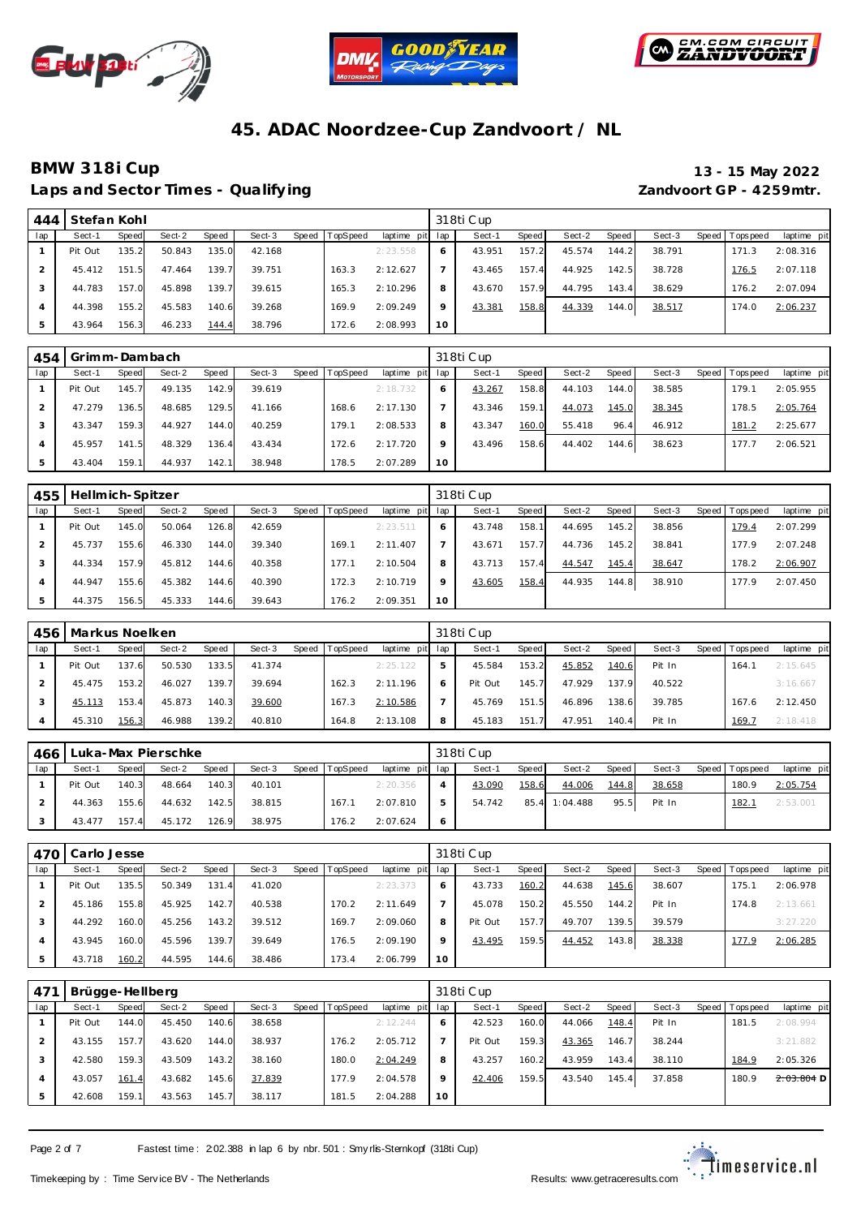





## **BMW 318i Cup 13 - 15 May 2022**

Laps and Sector Times - Qualifying *Laps and Sector Times - Qualifying* **Zandvoort GP - 4259mtr.** 

| 444 | Stefan Kohl |       |        |       |        |                |                 |         | 318ti Cup |       |        |       |        |                   |             |
|-----|-------------|-------|--------|-------|--------|----------------|-----------------|---------|-----------|-------|--------|-------|--------|-------------------|-------------|
| lap | Sect-1      | Speed | Sect-2 | Speed | Sect-3 | Speed TopSpeed | laptime pit lap |         | Sect-1    | Speed | Sect-2 | Speed | Sect-3 | Speed   Tops peed | laptime pit |
|     | Pit Out     | 135.2 | 50.843 | 135.0 | 42.168 |                | 2:23.558        |         | 43.951    | 157.2 | 45.574 | 144.2 | 38.791 | 171.3             | 2:08.316    |
|     | 45.412      | 151.5 | 47.464 | 139.7 | 39.751 | 163.3          | 2:12.627        |         | 43.465    | 157.4 | 44.925 | 142.5 | 38.728 | 176.5             | 2:07.118    |
|     | 44.783      | 157.0 | 45.898 | 139.7 | 39.615 | 165.3          | 2:10.296        | 8       | 43.670    | 157.9 | 44.795 | 143.4 | 38.629 | 176.2             | 2:07.094    |
|     | 44.398      | 155.2 | 45.583 | 140.6 | 39.268 | 169.9          | 2:09.249        | $\circ$ | 43.381    | 158.8 | 44.339 | 144.0 | 38.517 | 174.0             | 2:06.237    |
|     | 43.964      | 156.3 | 46.233 | 144.4 | 38.796 | 172.6          | 2:08.993        | 10      |           |       |        |       |        |                   |             |

| 454 | Grimm-Dambach |       |        |       |        |       |          |                 |         | 318ti Cup |       |        |       |        |                 |             |
|-----|---------------|-------|--------|-------|--------|-------|----------|-----------------|---------|-----------|-------|--------|-------|--------|-----------------|-------------|
| lap | Sect-1        | Speed | Sect-2 | Speed | Sect-3 | Speed | TopSpeed | laptime pit lap |         | Sect-1    | Speed | Sect-2 | Speed | Sect-3 | Speed Tops peed | laptime pit |
|     | Pit Out       | 145.7 | 49.135 | 142.9 | 39.619 |       |          | 2:18.732        |         | 43.267    | 158.8 | 44.103 | 144.0 | 38.585 | 179.1           | 2:05.955    |
|     | 47.279        | 136.5 | 48.685 | 129.5 | 41.166 |       | 168.6    | 2:17.130        |         | 43.346    | 159.1 | 44.073 | 145.0 | 38.345 | 178.5           | 2:05.764    |
|     | 43.347        | 159.3 | 44.927 | 144.0 | 40.259 |       | 179.1    | 2:08.533        | 8       | 43.347    | 160.0 | 55.418 | 96.4  | 46.912 | 181.2           | 2:25.677    |
|     | 45.957        | 141.5 | 48.329 | 136.4 | 43.434 |       | 172.6    | 2:17.720        | $\circ$ | 43.496    | 158.6 | 44.402 | 144.6 | 38.623 | 177.7           | 2:06.521    |
| .5  | 43.404        | 159.1 | 44.937 | 142.1 | 38.948 |       | 178.5    | 2:07.289        | 10      |           |       |        |       |        |                 |             |

| 455 | Hellmich-Spitzer |       |        |       |        |       |          |                 |          | 318ti Cup |       |        |       |        |                   |             |
|-----|------------------|-------|--------|-------|--------|-------|----------|-----------------|----------|-----------|-------|--------|-------|--------|-------------------|-------------|
| lap | Sect-1           | Speed | Sect-2 | Speed | Sect-3 | Speed | TopSpeed | laptime pit lap |          | Sect-1    | Speed | Sect-2 | Speed | Sect-3 | Speed   Tops peed | laptime pit |
|     | Pit Out          | 145.0 | 50.064 | 126.8 | 42.659 |       |          | 2: 23.511       |          | 43.748    | 158.1 | 44.695 | 145.2 | 38.856 | 179.4             | 2:07.299    |
|     | 45.737           | 155.6 | 46.330 | 144.0 | 39.340 |       | 169.1    | 2:11.407        |          | 43.671    | 157.7 | 44.736 | 145.2 | 38.841 | 177.9             | 2:07.248    |
|     | 44.334           | 157.9 | 45.812 | 144.6 | 40.358 |       | 177.1    | 2:10.504        | 8        | 43.713    | 157.4 | 44.547 | 145.4 | 38.647 | 178.2             | 2:06.907    |
| 4   | 44.947           | 155.6 | 45.382 | 144.6 | 40.390 |       | 172.3    | 2:10.719        | $\Omega$ | 43.605    | 158.4 | 44.935 | 144.8 | 38.910 | 177.9             | 2:07.450    |
| 5   | 44.375           | 156.5 | 45.333 | 144.6 | 39.643 |       | 176.2    | 2:09.351        | 10       |           |       |        |       |        |                   |             |

| 456 | Markus Noelken |       |        |       |        |       |          |                 |   | 318ti Cup |              |        |       |        |                 |             |
|-----|----------------|-------|--------|-------|--------|-------|----------|-----------------|---|-----------|--------------|--------|-------|--------|-----------------|-------------|
| lap | Sect-1         | Speed | Sect-2 | Speed | Sect-3 | Speed | TopSpeed | laptime pit lap |   | Sect-1    | <b>Speed</b> | Sect-2 | Speed | Sect-3 | Speed Tops peed | laptime pit |
|     | Pit Out        | 137.6 | 50.530 | 133.5 | 41.374 |       |          | 2:25.122        |   | 45.584    | 153.2        | 45.852 | 140.6 | Pit In | 164.            | 2:15.645    |
|     | 45.475         | 153.2 | 46.027 | 139.7 | 39.694 |       | 162.3    | 2:11.196        |   | Pit Out   | 145.7        | 47.929 | 137.9 | 40.522 |                 | 3:16.667    |
|     | 45.113         | 153.4 | 45.873 | 140.3 | 39.600 |       | 167.3    | 2:10.586        |   | 45.769    | 151.5        | 46.896 | 138.6 | 39.785 | 167.6           | 2:12.450    |
|     | 45.310         | 156.3 | 46.988 | 139.2 | 40.810 |       | 164.8    | 2:13.108        | 8 | 45.183    | 151.         | 47.951 | 140.4 | Pit In | 169.7           | 2:18.418    |

|     | 466   Luka-Max Pierschke |       |              |       |        |       |          |                 |     | 318ti Cup |       |               |       |        |                 |             |
|-----|--------------------------|-------|--------------|-------|--------|-------|----------|-----------------|-----|-----------|-------|---------------|-------|--------|-----------------|-------------|
| lap | Sect-1                   | Speed | Sect-2       | Speed | Sect-3 | Speed | TopSpeed | laptime pit lap |     | Sect-1    | Speed | Sect-2        | Speed | Sect-3 | Speed Tops peed | laptime pit |
|     | Pit Out                  | 140.3 | 48.664       | 140.3 | 40.101 |       |          | 2:20.356        |     | 43.090    | 158.6 | 44.006        | 144.8 | 38.658 | 180.9           | 2:05.754    |
|     | 44.363                   | 155.6 | 44.632 142.5 |       | 38.815 |       | 167.1    | 2:07.810        | 5   | 54.742    |       | 85.4 1:04.488 | 95.5  | Pit In | 182.7           | 2:53.001    |
|     | 43.477                   | 157.4 | 45.172       | 126.9 | 38.975 |       | 176.2    | 2:07.624        | - 6 |           |       |               |       |        |                 |             |

|     | 470   Carlo Jesse |       |        |       |        |       |                 |             |         | 318ti Cup |       |        |       |        |                 |             |
|-----|-------------------|-------|--------|-------|--------|-------|-----------------|-------------|---------|-----------|-------|--------|-------|--------|-----------------|-------------|
| lap | Sect-1            | Speed | Sect-2 | Speed | Sect-3 | Speed | <b>TopSpeed</b> | laptime pit | lap     | Sect-1    | Speed | Sect-2 | Speed | Sect-3 | Speed Tops peed | laptime pit |
|     | Pit Out           | 135.5 | 50.349 | 131.4 | 41.020 |       |                 | 2: 23.373   | O       | 43.733    | 160.2 | 44.638 | 145.6 | 38.607 | 175.1           | 2:06.978    |
|     | 45.186            | 155.8 | 45.925 | 142.7 | 40.538 |       | 170.2           | 2:11.649    |         | 45.078    | 150.2 | 45.550 | 144.2 | Pit In | 174.8           | 2:13.661    |
| 3   | 44.292            | 160.0 | 45.256 | 143.2 | 39.512 |       | 169.7           | 2:09.060    | 8       | Pit Out   | 157.7 | 49.707 | 139.5 | 39.579 |                 | 3:27.220    |
| 4   | 43.945            | 160.0 | 45.596 | 139.7 | 39.649 |       | 176.5           | 2:09.190    | $\circ$ | 43.495    | 159.5 | 44.452 | 143.8 | 38.338 | 177.9           | 2:06.285    |
| 5   | 43.718            | 160.2 | 44.595 | 144.6 | 38.486 |       | 173.4           | 2:06.799    | 10      |           |       |        |       |        |                 |             |

| 47 <sup>1</sup> | Brügge-Hellberg |        |        |       |        |         |                 |                 |         | 318ti Cup |       |        |       |        |                   |              |
|-----------------|-----------------|--------|--------|-------|--------|---------|-----------------|-----------------|---------|-----------|-------|--------|-------|--------|-------------------|--------------|
| lap             | Sect-1          | Speed  | Sect-2 | Speed | Sect-3 | Speed 1 | <b>TopSpeed</b> | laptime pit lap |         | Sect-1    | Speed | Sect-2 | Speed | Sect-3 | Speed   Tops peed | laptime pit  |
|                 | Pit Out         | 144.0  | 45.450 | 140.6 | 38.658 |         |                 | 2:12.244        | 6       | 42.523    | 160.0 | 44.066 | 148.4 | Pit In | 181.5             | 2:08.994     |
|                 | 43.155          | 157.7  | 43.620 | 144.0 | 38.937 |         | 176.2           | 2:05.712        |         | Pit Out   | 159.3 | 43.365 | 146.7 | 38.244 |                   | 3:21.882     |
|                 | 42.580          | 159.3  | 43.509 | 143.2 | 38.160 |         | 180.0           | 2:04.249        | 8       | 43.257    | 160.2 | 43.959 | 143.4 | 38.110 | 184.9             | 2:05.326     |
|                 | 43.057          | 161.4  | 43.682 | 145.6 | 37.839 |         | 177.9           | 2:04.578        | $\circ$ | 42.406    | 159.5 | 43.540 | 145.4 | 37.858 | 180.9             | $2:03.804$ D |
|                 | 42.608          | 159.11 | 43.563 | 145.7 | 38.117 |         | 181.5           | 2:04.288        | 10      |           |       |        |       |        |                   |              |

Page 2 of 7 Fastest time : 202.388 in lap 6 by nbr. 501 : Smy rlis-Sternkopf (318ti Cup)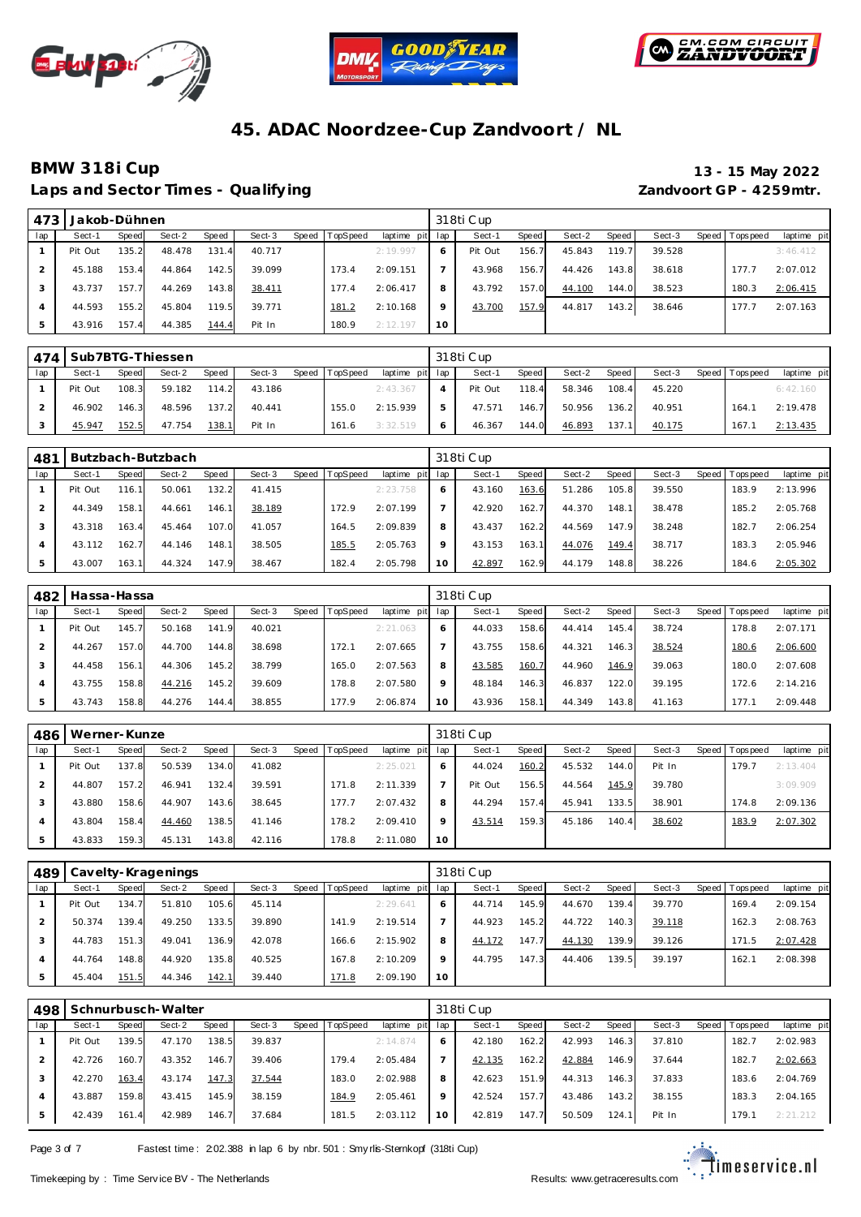





Laps and Sector Times - Qualifying *Laps and Sector Times - Qualifying* **Zandvoort GP - 4259mtr.** 

# **BMW 318i Cup 13 - 15 May 2022**

| 473 | Jakob-Dühnen |       |        |       |        |           |                 |                 |         | 318ti Cup |       |        |       |        |                 |             |
|-----|--------------|-------|--------|-------|--------|-----------|-----------------|-----------------|---------|-----------|-------|--------|-------|--------|-----------------|-------------|
| lap | Sect-1       | Speed | Sect-2 | Speed | Sect-3 | Speed   T | <b>TopSpeed</b> | laptime pit lap |         | Sect-1    | Speed | Sect-2 | Speed | Sect-3 | Speed Tops peed | laptime pit |
|     | Pit Out      | 135.2 | 48.478 | 131.4 | 40.717 |           |                 | 2:19.997        |         | Pit Out   | 156.7 | 45.843 | 119.7 | 39.528 |                 | 3:46.412    |
|     | 45.188       | 153.4 | 44.864 | 142.5 | 39.099 |           | 173.4           | 2:09.151        |         | 43.968    | 156.7 | 44.426 | 143.8 | 38.618 | 177.7           | 2:07.012    |
|     | 43.737       | 157.7 | 44.269 | 143.8 | 38.411 |           | 177.4           | 2:06.417        | 8       | 43.792    | 157.0 | 44.100 | 144.0 | 38.523 | 180.3           | 2:06.415    |
|     | 44.593       | 155.2 | 45.804 | 119.5 | 39.771 |           | 181.2           | 2:10.168        | $\circ$ | 43.700    | 157.9 | 44.817 | 143.2 | 38.646 | 177.7           | 2:07.163    |
|     | 43.916       | 157.4 | 44.385 | 144.4 | Pit In |           | 180.9           | 2:12.197        | 10      |           |       |        |       |        |                 |             |

|     | 474   Sub7BTG-Thiessen |       |        |       |        |       |          |                 |   | 318ti Cup |       |        |        |        |                 |             |
|-----|------------------------|-------|--------|-------|--------|-------|----------|-----------------|---|-----------|-------|--------|--------|--------|-----------------|-------------|
| lap | Sect-1                 | Speed | Sect-2 | Speed | Sect-3 | Speed | TopSpeed | laptime pit lap |   | Sect-1    | Speed | Sect-2 | Speed  | Sect-3 | Speed Tops peed | laptime pit |
|     | Pit Out                | 108.3 | 59.182 | 114.2 | 43.186 |       |          | 2:43.367        |   | Pit Out   | 118.4 | 58.346 | 108.4  | 45.220 |                 | 6:42.160    |
|     | 46.902                 | 146.3 | 48.596 | 137.2 | 40.441 |       | 155.0    | 2:15.939        | 5 | 47.571    | 146.7 | 50.956 | 136.2  | 40.951 | 164.1           | 2:19.478    |
|     | 45.947                 | 152.5 | 47.754 | 138.1 | Pit In |       | 161.6    | 3:32.519        | 6 | 46.367    | 144.0 | 46.893 | 137.11 | 40.175 | 167.1           | 2:13.435    |

| 481 |         |       | Butzbach-Butzbach |       |        |       |          |                 |         | 318ti Cup |       |        |       |        |                 |             |
|-----|---------|-------|-------------------|-------|--------|-------|----------|-----------------|---------|-----------|-------|--------|-------|--------|-----------------|-------------|
| lap | Sect-1  | Speed | Sect-2            | Speed | Sect-3 | Speed | TopSpeed | laptime pit lap |         | Sect-1    | Speed | Sect-2 | Speed | Sect-3 | Speed Tops peed | laptime pit |
|     | Pit Out | 116.1 | 50.061            | 132.2 | 41.415 |       |          | 2:23.758        | 6       | 43.160    | 163.6 | 51.286 | 105.8 | 39.550 | 183.9           | 2:13.996    |
|     | 44.349  | 158.1 | 44.661            | 146.7 | 38.189 |       | 172.9    | 2:07.199        |         | 42.920    | 162.7 | 44.370 | 148.1 | 38.478 | 185.2           | 2:05.768    |
|     | 43.318  | 163.4 | 45.464            | 107.0 | 41.057 |       | 164.5    | 2:09.839        | 8       | 43.437    | 162.2 | 44.569 | 147.9 | 38.248 | 182.7           | 2:06.254    |
|     | 43.112  | 162.7 | 44.146            | 148.1 | 38.505 |       | 185.5    | 2:05.763        | $\circ$ | 43.153    | 163.1 | 44.076 | 149.4 | 38.717 | 183.3           | 2:05.946    |
| 5   | 43.007  | 163.1 | 44.324            | 147.9 | 38.467 |       | 182.4    | 2:05.798        | 10      | 42.897    | 162.9 | 44.179 | 148.8 | 38.226 | 184.6           | 2:05.302    |

| 482 | Hassa-Hassa |       |        |       |        |       |          |                 |              | 318ti Cup |       |        |       |        |                 |             |
|-----|-------------|-------|--------|-------|--------|-------|----------|-----------------|--------------|-----------|-------|--------|-------|--------|-----------------|-------------|
| lap | Sect-1      | Speed | Sect-2 | Speed | Sect-3 | Speed | TopSpeed | laptime pit lap |              | Sect-1    | Speed | Sect-2 | Speed | Sect-3 | Speed Tops peed | laptime pit |
|     | Pit Out     | 145.7 | 50.168 | 141.9 | 40.021 |       |          | 2:21.063        | <sub>6</sub> | 44.033    | 158.6 | 44.414 | 145.4 | 38.724 | 178.8           | 2:07.171    |
|     | 44.267      | 157.0 | 44.700 | 144.8 | 38.698 |       | 172.1    | 2:07.665        |              | 43.755    | 158.6 | 44.321 | 146.3 | 38.524 | 180.6           | 2:06.600    |
|     | 44.458      | 156.1 | 44.306 | 145.2 | 38.799 |       | 165.0    | 2:07.563        | 8            | 43.585    | 160.7 | 44.960 | 146.9 | 39.063 | 180.0           | 2:07.608    |
|     | 43.755      | 158.8 | 44.216 | 145.2 | 39.609 |       | 178.8    | 2:07.580        | $\circ$      | 48.184    | 146.3 | 46.837 | 122.0 | 39.195 | 172.6           | 2:14.216    |
|     | 43.743      | 158.8 | 44.276 | 144.4 | 38.855 |       | 177.9    | 2:06.874        | 10           | 43.936    | 158.1 | 44.349 | 143.8 | 41.163 | 177.1           | 2:09.448    |

| 486 | Werner-Kunze |       |        |       |        |       |          |                 |         | 318ti Cup |       |        |       |        |                 |             |
|-----|--------------|-------|--------|-------|--------|-------|----------|-----------------|---------|-----------|-------|--------|-------|--------|-----------------|-------------|
| lap | Sect-1       | Speed | Sect-2 | Speed | Sect-3 | Speed | TopSpeed | laptime pit lap |         | Sect-1    | Speed | Sect-2 | Speed | Sect-3 | Speed Tops peed | laptime pit |
|     | Pit Out      | 137.8 | 50.539 | 134.0 | 41.082 |       |          | 2:25.021        | 6       | 44.024    | 160.2 | 45.532 | 144.0 | Pit In | 179.            | 2:13.404    |
|     | 44.807       | 157.2 | 46.941 | 132.4 | 39.591 |       | 171.8    | 2:11.339        |         | Pit Out   | 156.5 | 44.564 | 145.9 | 39.780 |                 | 3:09.909    |
|     | 43.880       | 158.6 | 44.907 | 143.6 | 38.645 |       | 177.7    | 2:07.432        | 8       | 44.294    | 157.4 | 45.941 | 133.5 | 38.901 | 174.8           | 2:09.136    |
|     | 43.804       | 158.4 | 44.460 | 138.5 | 41.146 |       | 178.2    | 2:09.410        | $\circ$ | 43.514    | 159.3 | 45.186 | 140.4 | 38.602 | 183.9           | 2:07.302    |
|     | 43.833       | 159.3 | 45.131 | 143.8 | 42.116 |       | 178.8    | 2:11.080        | 10      |           |       |        |       |        |                 |             |

| 489 |         |       | Cavelty-Kragenings |       |        |       |          |                 |              | 318ti Cup |              |        |       |        |                 |             |
|-----|---------|-------|--------------------|-------|--------|-------|----------|-----------------|--------------|-----------|--------------|--------|-------|--------|-----------------|-------------|
| lap | Sect-1  | Speed | Sect-2             | Speed | Sect-3 | Speed | TopSpeed | laptime pit lap |              | Sect-1    | <b>Speed</b> | Sect-2 | Speed | Sect-3 | Speed Tops peed | laptime pit |
|     | Pit Out | 134.7 | 51.810             | 105.6 | 45.114 |       |          | 2:29.641        | <sub>6</sub> | 44.714    | 145.9        | 44.670 | 139.4 | 39.770 | 169.4           | 2:09.154    |
|     | 50.374  | 139.4 | 49.250             | 133.5 | 39.890 |       | 141.9    | 2:19.514        |              | 44.923    | 145.2        | 44.722 | 140.3 | 39.118 | 162.3           | 2:08.763    |
|     | 44.783  | 151.3 | 49.041             | 136.9 | 42.078 |       | 166.6    | 2:15.902        | 8            | 44.172    | 147.7        | 44.130 | 139.9 | 39.126 | 171.5           | 2:07.428    |
|     | 44.764  | 148.8 | 44.920             | 135.8 | 40.525 |       | 167.8    | 2:10.209        | $\circ$      | 44.795    | 147.3        | 44.406 | 139.5 | 39.197 | 162.7           | 2:08.398    |
|     | 45.404  | 151.5 | 44.346             | 142.1 | 39.440 |       | 171.8    | 2:09.190        | 10           |           |              |        |       |        |                 |             |

| 498            |         |       | Schnurbusch-Walter |       |        |       |          |             |                 | 318ti Cup |       |        |       |        |                |             |
|----------------|---------|-------|--------------------|-------|--------|-------|----------|-------------|-----------------|-----------|-------|--------|-------|--------|----------------|-------------|
| lap            | Sect-1  | Speed | Sect-2             | Speed | Sect-3 | Speed | TopSpeed | laptime pit | lap             | Sect-1    | Speed | Sect-2 | Speed | Sect-3 | Speed Topspeed | laptime pit |
|                | Pit Out | 139.5 | 47.170             | 138.5 | 39.837 |       |          | 2:14.874    | 6               | 42.180    | 162.2 | 42.993 | 146.3 | 37.810 | 182.7          | 2:02.983    |
|                | 42.726  | 160.7 | 43.352             | 146.7 | 39.406 |       | 179.4    | 2:05.484    |                 | 42.135    | 162.2 | 42.884 | 146.9 | 37.644 | 182.7          | 2:02.663    |
|                | 42.270  | 163.4 | 43.174             | 147.3 | 37.544 |       | 183.0    | 2:02.988    | 8               | 42.623    | 151.9 | 44.313 | 146.3 | 37.833 | 183.6          | 2:04.769    |
| $\overline{4}$ | 43.887  | 159.8 | 43.415             | 145.9 | 38.159 |       | 184.9    | 2:05.461    | $\mathsf Q$     | 42.524    | 157.7 | 43.486 | 143.2 | 38.155 | 183.3          | 2:04.165    |
| 5              | 42.439  | 161.4 | 42.989             | 146.7 | 37.684 |       | 181.5    | 2:03.112    | 10 <sup>°</sup> | 42.819    | 147.7 | 50.509 | 124.1 | Pit In | 179.7          | 2:21.212    |

Page 3 of 7 Fastest time : 202.388 in lap 6 by nbr. 501 : Smy rlis-Sternkopf (318ti Cup)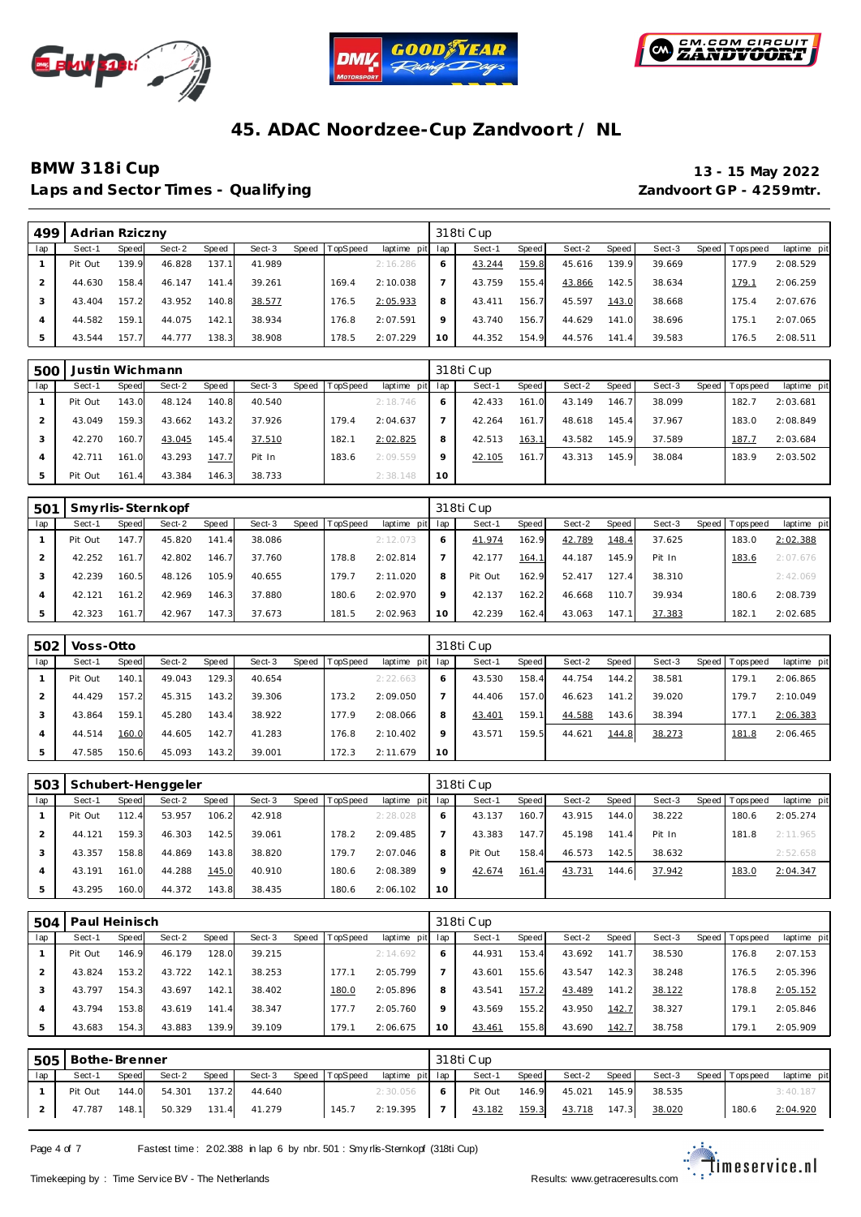





### **BMW 318i Cup 13 - 15 May 2022** Laps and Sector Times - Qualifying *Laps and Sector Times - Qualifying* **Zandvoort GP - 4259mtr.**

| 499 | Adrian Rziczny |        |        |       |        |       |          |                 |         | 318ti Cup |       |        |       |        |       |            |             |
|-----|----------------|--------|--------|-------|--------|-------|----------|-----------------|---------|-----------|-------|--------|-------|--------|-------|------------|-------------|
| lap | Sect-1         | Speed  | Sect-2 | Speed | Sect-3 | Speed | TopSpeed | laptime pit lap |         | Sect-1    | Speed | Sect-2 | Speed | Sect-3 | Speed | Tops pee d | laptime pit |
|     | Pit Out        | 139.9  | 46.828 | 137.1 | 41.989 |       |          | 2:16.286        | O       | 43.244    | 159.8 | 45.616 | 139.9 | 39.669 |       | 177.9      | 2:08.529    |
|     | 44.630         | 158.4  | 46.147 | 141.4 | 39.261 |       | 169.4    | 2:10.038        |         | 43.759    | 155.4 | 43.866 | 142.5 | 38.634 |       | 179.1      | 2:06.259    |
|     | 43.404         | 157.2  | 43.952 | 140.8 | 38.577 |       | 176.5    | 2:05.933        | 8       | 43.411    | 156.7 | 45.597 | 143.0 | 38.668 |       | 175.4      | 2:07.676    |
|     | 44.582         | 159.11 | 44.075 | 142.1 | 38.934 |       | 176.8    | 2:07.591        | $\circ$ | 43.740    | 156.7 | 44.629 | 141.0 | 38.696 |       | 175.7      | 2:07.065    |
|     | 43.544         | 157.7  | 44.777 | 138.3 | 38.908 |       | 178.5    | 2:07.229        | 10      | 44.352    | 154.9 | 44.576 | 141.4 | 39.583 |       | 176.5      | 2:08.511    |

| 500 |         |       | Justin Wichmann |       |        |       |          |                 |         | 318ti Cup |       |        |       |        |                 |             |
|-----|---------|-------|-----------------|-------|--------|-------|----------|-----------------|---------|-----------|-------|--------|-------|--------|-----------------|-------------|
| lap | Sect-1  | Speed | Sect-2          | Speed | Sect-3 | Speed | TopSpeed | laptime pit lap |         | Sect-1    | Speed | Sect-2 | Speed | Sect-3 | Speed Tops peed | laptime pit |
|     | Pit Out | 143.0 | 48.124          | 140.8 | 40.540 |       |          | 2:18.746        | 6       | 42.433    | 161.0 | 43.149 | 146.7 | 38.099 | 182.7           | 2:03.681    |
|     | 43.049  | 159.3 | 43.662          | 143.2 | 37.926 |       | 179.4    | 2:04.637        |         | 42.264    | 161.7 | 48.618 | 145.4 | 37.967 | 183.0           | 2:08.849    |
|     | 42.270  | 160.7 | 43.045          | 145.4 | 37.510 |       | 182.1    | 2:02.825        | 8       | 42.513    | 163.1 | 43.582 | 145.9 | 37.589 | 187.7           | 2:03.684    |
| 4   | 42.711  | 161.0 | 43.293          | 147.7 | Pit In |       | 183.6    | 2:09.559        | $\circ$ | 42.105    | 161.7 | 43.313 | 145.9 | 38.084 | 183.9           | 2:03.502    |
| 5   | Pit Out | 161.4 | 43.384          | 146.3 | 38.733 |       |          | 2:38.148        | 10      |           |       |        |       |        |                 |             |

| .50 <sup>1</sup> |         |       | Smyrlis-Sternkopf |       |        |       |          |             |     | 318ti Cup |              |        |        |        |       |           |             |
|------------------|---------|-------|-------------------|-------|--------|-------|----------|-------------|-----|-----------|--------------|--------|--------|--------|-------|-----------|-------------|
| lap              | Sect-1  | Speed | Sect-2            | Speed | Sect-3 | Speed | TopSpeed | laptime pit | lap | Sect-1    | <b>Speed</b> | Sect-2 | Speed  | Sect-3 | Speed | Tops peed | laptime pit |
|                  | Pit Out | 147.7 | 45.820            | 141.4 | 38.086 |       |          | 2:12.073    | 6   | 41.974    | 162.9        | 42.789 | 148.4  | 37.625 |       | 183.0     | 2:02.388    |
|                  | 42.252  | 161.7 | 42.802            | 146.7 | 37.760 |       | 178.8    | 2:02.814    |     | 42.177    | 164.1        | 44.187 | 145.9  | Pit In |       | 183.6     | 2:07.676    |
|                  | 42.239  | 160.5 | 48.126            | 105.9 | 40.655 |       | 179.7    | 2:11.020    | 8   | Pit Out   | 162.9        | 52.417 | 127.4  | 38.310 |       |           | 2:42.069    |
|                  | 42.121  | 161.2 | 42.969            | 146.3 | 37.880 |       | 180.6    | 2:02.970    | Q   | 42.137    | 162.2        | 46.668 | 110.71 | 39.934 |       | 180.6     | 2:08.739    |
|                  | 42.323  | 161.7 | 42.967            | 147.3 | 37.673 |       | 181.5    | 2:02.963    | 10  | 42.239    | 162.4        | 43.063 | 147.1  | 37.383 |       | 182.1     | 2:02.685    |

| 502 | Voss-Otto |       |        |       |        |       |          |             |     | 318ti Cup |       |        |       |        |       |          |             |
|-----|-----------|-------|--------|-------|--------|-------|----------|-------------|-----|-----------|-------|--------|-------|--------|-------|----------|-------------|
| lap | Sect-1    | Speed | Sect-2 | Speed | Sect-3 | Speed | TopSpeed | laptime pit | lap | Sect-1    | Speed | Sect-2 | Speed | Sect-3 | Speed | Topspeed | laptime pit |
|     | Pit Out   | 140.1 | 49.043 | 129.3 | 40.654 |       |          | 2:22.663    | 6   | 43.530    | 158.4 | 44.754 | 144.2 | 38.581 |       | 179.1    | 2:06.865    |
|     | 44.429    | 157.2 | 45.315 | 143.2 | 39.306 |       | 173.2    | 2:09.050    |     | 44.406    | 157.0 | 46.623 | 141.2 | 39.020 |       | 179.7    | 2:10.049    |
| 3   | 43.864    | 159.1 | 45.280 | 143.4 | 38.922 |       | 177.9    | 2:08.066    | 8   | 43.401    | 159.1 | 44.588 | 143.6 | 38.394 |       | 177.1    | 2:06.383    |
| 4   | 44.514    | 160.0 | 44.605 | 142.7 | 41.283 |       | 176.8    | 2:10.402    | 9   | 43.571    | 159.5 | 44.621 | 144.8 | 38.273 |       | 181.8    | 2:06.465    |
| 5   | 47.585    | 150.6 | 45.093 | 143.2 | 39.001 |       | 172.3    | 2:11.679    | 10  |           |       |        |       |        |       |          |             |

| 503 |         |       | Schubert-Henggeler |       |        |       |                 |             |         | 318ti Cup |       |        |       |        |                 |             |
|-----|---------|-------|--------------------|-------|--------|-------|-----------------|-------------|---------|-----------|-------|--------|-------|--------|-----------------|-------------|
| lap | Sect-1  | Speed | Sect-2             | Speed | Sect-3 | Speed | <b>TopSpeed</b> | laptime pit | lap     | Sect-1    | Speed | Sect-2 | Speed | Sect-3 | Speed Tops peed | laptime pit |
|     | Pit Out | 112.4 | 53.957             | 106.2 | 42.918 |       |                 | 2:28.028    | 6       | 43.137    | 160.7 | 43.915 | 144.0 | 38.222 | 180.6           | 2:05.274    |
|     | 44.121  | 159.3 | 46.303             | 142.5 | 39.061 |       | 178.2           | 2:09.485    |         | 43.383    | 147.7 | 45.198 | 141.4 | Pit In | 181.8           | 2:11.965    |
|     | 43.357  | 158.8 | 44.869             | 143.8 | 38.820 |       | 179.7           | 2:07.046    | 8       | Pit Out   | 158.4 | 46.573 | 142.5 | 38.632 |                 | 2:52.658    |
|     | 43.191  | 161.0 | 44.288             | 145.0 | 40.910 |       | 180.6           | 2:08.389    | $\circ$ | 42.674    | 161.4 | 43.731 | 144.6 | 37.942 | 183.C           | 2:04.347    |
|     | 43.295  | 160.0 | 44.372             | 143.8 | 38.435 |       | 180.6           | 2:06.102    | 10      |           |       |        |       |        |                 |             |

| 504 | Paul Heinisch |       |        |       |        |       |                 |             |         | 318ti Cup |       |        |       |        |                  |             |
|-----|---------------|-------|--------|-------|--------|-------|-----------------|-------------|---------|-----------|-------|--------|-------|--------|------------------|-------------|
| lap | Sect-1        | Speed | Sect-2 | Speed | Sect-3 | Speed | <b>TopSpeed</b> | laptime pit | lap     | Sect-1    | Speed | Sect-2 | Speed | Sect-3 | Speed   Topspeed | laptime pit |
|     | Pit Out       | 146.9 | 46.179 | 128.0 | 39.215 |       |                 | 2:14.692    | 6       | 44.931    | 153.4 | 43.692 | 141   | 38.530 | 176.8            | 2:07.153    |
|     | 43.824        | 153.2 | 43.722 | 142.1 | 38.253 |       | 177.1           | 2:05.799    |         | 43.601    | 155.6 | 43.547 | 142.3 | 38.248 | 176.5            | 2:05.396    |
|     | 43.797        | 154.3 | 43.697 | 142.1 | 38.402 |       | 180.0           | 2:05.896    | 8       | 43.541    | 157.2 | 43.489 | 141.2 | 38.122 | 178.8            | 2:05.152    |
| 4   | 43.794        | 153.8 | 43.619 | 141.4 | 38.347 |       | 177.7           | 2:05.760    | $\circ$ | 43.569    | 155.2 | 43.950 | 142.7 | 38.327 | 179.1            | 2:05.846    |
| 5   | 43.683        | 154.3 | 43.883 | 139.9 | 39.109 |       | 179.1           | 2:06.675    | 10      | 43.461    | 155.8 | 43.690 | 142.7 | 38.758 | 179.1            | 2:05.909    |

| 505 | Bothe-Brenner |       |        |       |        |                |                 |   | 318ti Cup |              |        |       |        |                   |             |
|-----|---------------|-------|--------|-------|--------|----------------|-----------------|---|-----------|--------------|--------|-------|--------|-------------------|-------------|
| lap | Sect-1        | Speed | Sect-2 | Speed | Sect-3 | Speed TopSpeed | laptime pit lap |   | Sect-1    | Speed I      | Sect-2 | Speed | Sect-3 | Speed   Tops peed | laptime pit |
|     | Pit Out       | 144.0 | 54.301 | 137.2 | 44.640 |                | 2:30.056        | 6 | Pit Out   | 146.9        | 45.021 | 145.9 | 38.535 |                   | 3:40.187    |
|     | 47.787        | 148.1 | 50.329 | 131.4 | 41.279 | 145.7          | $2:19.395$ 7    |   | 43.182    | <u>159.3</u> | 43.718 | 147.3 | 38.020 | 180.6             | 2:04.920    |

Page 4 of 7 Fastest time : 202.388 in lap 6 by nbr. 501 : Smy rlis-Sternkopf (318ti Cup)

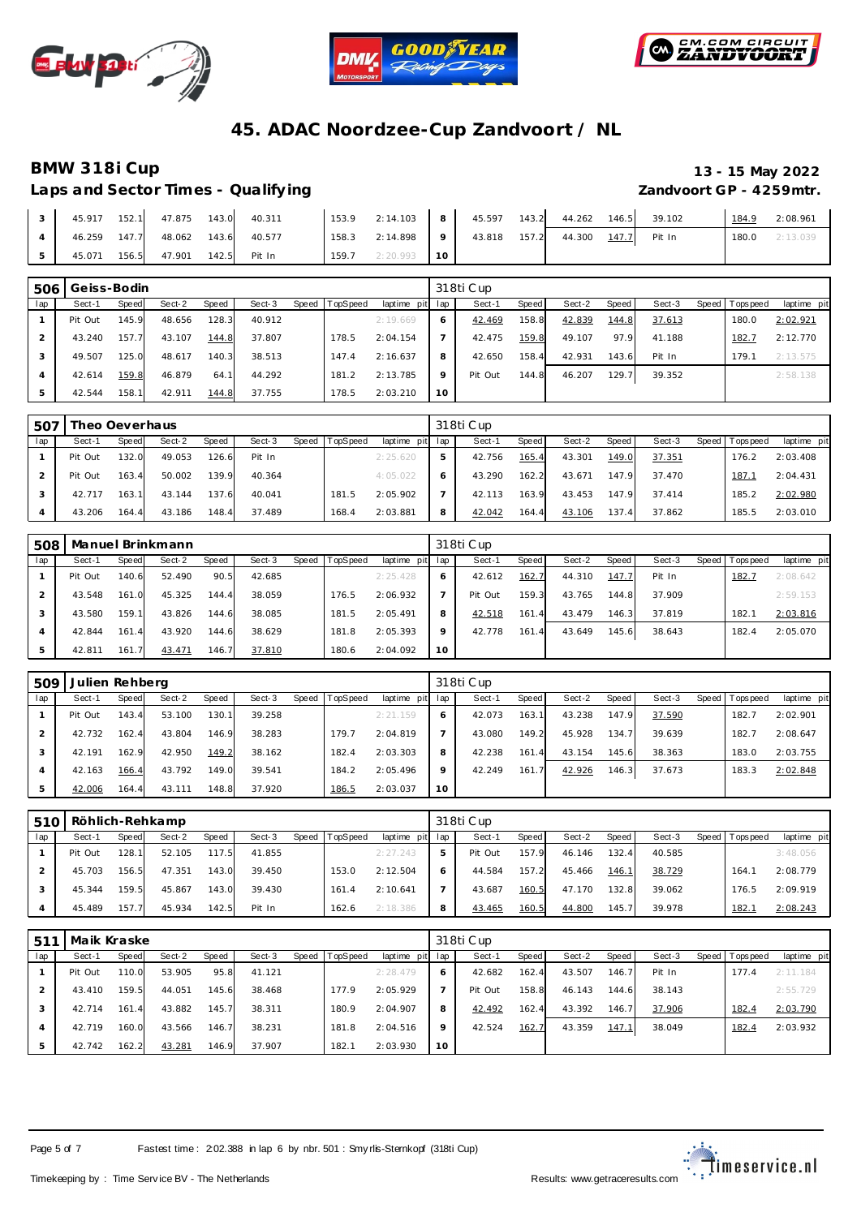





### **BMW 318i Cup 13 - 15 May 2022 Laps and Sector Times - Qualify ing Zandvoort GP - 4259mtr.**

| Laps and Sector Times - Qualifying |
|------------------------------------|
|------------------------------------|

|  | 45.917 152.1 47.875 143.0        | 40.311 | 153.9 | 2:14.103 8 45.597 143.2 44.262 |  |       |        | 146.5 | 39.102       | 184.9 | 2:08.961 |
|--|----------------------------------|--------|-------|--------------------------------|--|-------|--------|-------|--------------|-------|----------|
|  | 46.259 147.7 48.062 143.6        | 40.577 | 158.3 | 2:14.898 9 43.818              |  | 157.2 | 44.300 |       | 147.7 Pit In | 180.0 | 2:13.039 |
|  | 45.071 156.5 47.901 142.5 Pit In |        |       | $159.7$ 2:20.993 10            |  |       |        |       |              |       |          |

| 506 | Geiss-Bodin |       |        |       |        |       |          |                 |         | 318ti Cup |       |        |       |        |       |           |             |
|-----|-------------|-------|--------|-------|--------|-------|----------|-----------------|---------|-----------|-------|--------|-------|--------|-------|-----------|-------------|
| lap | Sect-1      | Speed | Sect-2 | Speed | Sect-3 | Speed | TopSpeed | laptime pit lap |         | Sect-1    | Speed | Sect-2 | Speed | Sect-3 | Speed | Tops peed | laptime pit |
|     | Pit Out     | 145.9 | 48.656 | 128.3 | 40.912 |       |          | 2:19.669        | O       | 42.469    | 158.8 | 42.839 | 144.8 | 37.613 |       | 180.0     | 2:02.921    |
|     | 43.240      | 157.7 | 43.107 | 144.8 | 37.807 |       | 178.5    | 2:04.154        |         | 42.475    | 159.8 | 49.107 | 97.9  | 41.188 |       | 182.7     | 2:12.770    |
|     | 49.507      | 125.0 | 48.617 | 140.3 | 38.513 |       | 147.4    | 2:16.637        | 8       | 42.650    | 158.4 | 42.931 | 143.6 | Pit In |       | 179.1     | 2:13.575    |
| 4   | 42.614      | 159.8 | 46.879 | 64.1  | 44.292 |       | 181.2    | 2:13.785        | $\circ$ | Pit Out   | 144.8 | 46.207 | 129.7 | 39.352 |       |           | 2:58.138    |
| 5   | 42.544      | 158.1 | 42.911 | 144.8 | 37.755 |       | 178.5    | 2:03.210        | 10      |           |       |        |       |        |       |           |             |

| 507 | Theo Oeverhaus |       |        |       |        |       |          |                 |   | 318ti Cup |       |        |       |        |                 |             |
|-----|----------------|-------|--------|-------|--------|-------|----------|-----------------|---|-----------|-------|--------|-------|--------|-----------------|-------------|
| lap | Sect-1         | Speed | Sect-2 | Speed | Sect-3 | Speed | TopSpeed | laptime pit lap |   | Sect-1    | Speed | Sect-2 | Speed | Sect-3 | Speed Tops peed | laptime pit |
|     | Pit Out        | 132.0 | 49.053 | 126.6 | Pit In |       |          | 2:25.620        | 5 | 42.756    | 165.4 | 43.301 | 149.0 | 37.351 | 176.2           | 2:03.408    |
|     | Pit Out        | 163.4 | 50.002 | 139.9 | 40.364 |       |          | 4:05.022        | 6 | 43.290    | 162.2 | 43.671 | 147.9 | 37.470 | 187.7           | 2:04.431    |
|     | 42.717         | 163.1 | 43.144 | 137.6 | 40.041 |       | 181.5    | 2:05.902        |   | 42.113    | 163.9 | 43.453 | 147.9 | 37.414 | 185.2           | 2:02.980    |
|     | 43.206         | 164.4 | 43.186 | 148.4 | 37.489 |       | 168.4    | 2:03.881        | 8 | 42.042    | 164.4 | 43.106 | 137.4 | 37.862 | 185.5           | 2:03.010    |

| 508 |         |                       | Manuel Brinkmann |       |        |       |          |                 |         | 318ti Cup |       |        |       |        |                 |             |
|-----|---------|-----------------------|------------------|-------|--------|-------|----------|-----------------|---------|-----------|-------|--------|-------|--------|-----------------|-------------|
| lap | Sect-1  | Speed                 | Sect-2           | Speed | Sect-3 | Speed | TopSpeed | laptime pit lap |         | Sect-1    | Speed | Sect-2 | Speed | Sect-3 | Speed Tops peed | laptime pit |
|     | Pit Out | 140.6                 | 52.490           | 90.5  | 42.685 |       |          | 2:25.428        | 6       | 42.612    | 162.7 | 44.310 | 147.7 | Pit In | 182.7           | 2:08.642    |
|     | 43.548  | 161.0                 | 45.325           | 144.4 | 38.059 |       | 176.5    | 2:06.932        |         | Pit Out   | 159.3 | 43.765 | 144.8 | 37.909 |                 | 2:59.153    |
|     | 43.580  | 159.11                | 43.826           | 144.6 | 38.085 |       | 181.5    | 2:05.491        | 8       | 42.518    | 161.4 | 43.479 | 146.3 | 37.819 | 182.7           | 2:03.816    |
|     | 42.844  | 161<br>$\overline{4}$ | 43.920           | 144.6 | 38.629 |       | 181.8    | 2:05.393        | $\circ$ | 42.778    | 161.4 | 43.649 | 145.6 | 38.643 | 182.4           | 2:05.070    |
|     | 42.811  | 161                   | 43.471           | 146.7 | 37.810 |       | 180.6    | 2:04.092        | 10      |           |       |        |       |        |                 |             |

| 509 | Julien Rehberg |       |        |       |        |       |                 |                 |         | 318ti Cup |       |        |       |        |                   |             |
|-----|----------------|-------|--------|-------|--------|-------|-----------------|-----------------|---------|-----------|-------|--------|-------|--------|-------------------|-------------|
| lap | Sect-1         | Speed | Sect-2 | Speed | Sect-3 | Speed | <b>TopSpeed</b> | laptime pit lap |         | Sect-1    | Speed | Sect-2 | Speed | Sect-3 | Speed   Tops peed | laptime pit |
|     | Pit Out        | 143.4 | 53.100 | 130.1 | 39.258 |       |                 | 2:21.159        | 6       | 42.073    | 163.1 | 43.238 | 147.9 | 37.590 | 182.7             | 2:02.901    |
|     | 42.732         | 162.4 | 43.804 | 146.9 | 38.283 |       | 179.7           | 2:04.819        |         | 43.080    | 149.2 | 45.928 | 134.7 | 39.639 | 182.7             | 2:08.647    |
|     | 42.191         | 162.9 | 42.950 | 149.2 | 38.162 |       | 182.4           | 2:03.303        | 8       | 42.238    | 161.4 | 43.154 | 145.6 | 38.363 | 183.0             | 2:03.755    |
|     | 42.163         | 166.4 | 43.792 | 149.0 | 39.541 |       | 184.2           | 2:05.496        | $\circ$ | 42.249    | 161.7 | 42.926 | 146.3 | 37.673 | 183.3             | 2:02.848    |
|     | 42.006         | 164.4 | 43.111 | 148.8 | 37.920 |       | 186.5           | 2:03.037        | 10      |           |       |        |       |        |                   |             |

| 510 |         |       | Röhlich-Rehkamp |       |        |       |          |             |     | 318ti Cup |              |        |       |        |                 |             |
|-----|---------|-------|-----------------|-------|--------|-------|----------|-------------|-----|-----------|--------------|--------|-------|--------|-----------------|-------------|
| lap | Sect-1  | Speed | Sect-2          | Speed | Sect-3 | Speed | TopSpeed | laptime pit | lap | Sect-1    | <b>Speed</b> | Sect-2 | Speed | Sect-3 | Speed Tops peed | laptime pit |
|     | Pit Out | 128.1 | 52.105          | 117.5 | 41.855 |       |          | 2:27.243    | 5   | Pit Out   | 157.9        | 46.146 | 132.4 | 40.585 |                 | 3:48.056    |
|     | 45.703  | 156.5 | 47.351          | 143.0 | 39.450 |       | 153.0    | 2:12.504    | 6   | 44.584    | 157.2        | 45.466 | 146.1 | 38.729 | 164.7           | 2:08.779    |
|     | 45.344  | 159.5 | 45.867          | 143.0 | 39.430 |       | 161.4    | 2:10.641    |     | 43.687    | 160.5        | 47.170 | 132.8 | 39.062 | 176.5           | 2:09.919    |
|     | 45.489  | 157.7 | 45.934          | 142.5 | Pit In |       | 162.6    | 2:18.386    | 8   | 43.465    | 160.5        | 44.800 | 145.7 | 39.978 | 182.7           | 2:08.243    |

| 511 | Maik Kraske |       |        |       |        |       |          |             |     | 318ti Cup |       |        |       |        |       |          |             |
|-----|-------------|-------|--------|-------|--------|-------|----------|-------------|-----|-----------|-------|--------|-------|--------|-------|----------|-------------|
| lap | Sect-1      | Speed | Sect-2 | Speed | Sect-3 | Speed | TopSpeed | laptime pit | lap | Sect-1    | Speed | Sect-2 | Speed | Sect-3 | Speed | Topspeed | laptime pit |
|     | Pit Out     | 110.0 | 53.905 | 95.8  | 41.121 |       |          | 2:28.479    | 6   | 42.682    | 162.4 | 43.507 | 146.7 | Pit In |       | 177.4    | 2:11.184    |
|     | 43.410      | 159.5 | 44.051 | 145.6 | 38.468 |       | 177.9    | 2:05.929    |     | Pit Out   | 158.8 | 46.143 | 144.6 | 38.143 |       |          | 2:55.729    |
|     | 42.714      | 161.4 | 43.882 | 145.7 | 38.311 |       | 180.9    | 2:04.907    | 8   | 42.492    | 162.4 | 43.392 | 146.7 | 37.906 |       | 182.4    | 2:03.790    |
| 4   | 42.719      | 160.0 | 43.566 | 146.7 | 38.231 |       | 181.8    | 2:04.516    | 9   | 42.524    | 162.7 | 43.359 | 147.1 | 38.049 |       | 182.4    | 2:03.932    |
| 5   | 42.742      | 162.2 | 43.281 | 146.9 | 37.907 |       | 182.1    | 2:03.930    | 10  |           |       |        |       |        |       |          |             |



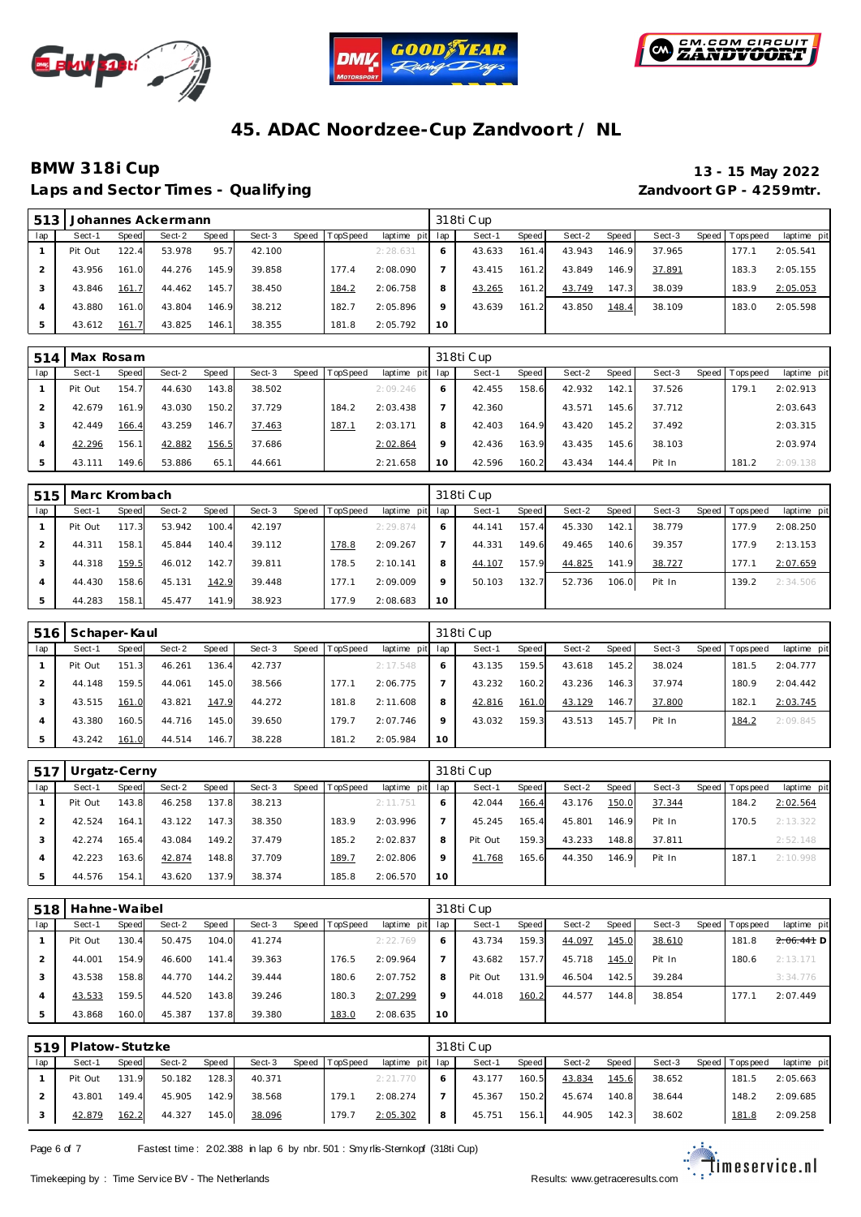





Laps and Sector Times - Qualifying *Laps and Sector Times - Qualifying* **Zandvoort GP - 4259mtr.** 

# **BMW 318i Cup 13 - 15 May 2022**

| 513 |         |       | Johannes Ackermann |       |        |         |                 |                 |         | 318ti Cup |       |        |       |        |                   |             |
|-----|---------|-------|--------------------|-------|--------|---------|-----------------|-----------------|---------|-----------|-------|--------|-------|--------|-------------------|-------------|
| lap | Sect-1  | Speed | Sect-2             | Speed | Sect-3 | Speed 1 | <b>TopSpeed</b> | laptime pit lap |         | Sect-1    | Speed | Sect-2 | Speed | Sect-3 | Speed   Tops peed | laptime pit |
|     | Pit Out | 122.4 | 53.978             | 95.7  | 42.100 |         |                 | 2:28.631        | 6       | 43.633    | 161.4 | 43.943 | 146.9 | 37.965 | 177.7             | 2:05.541    |
|     | 43.956  | 161.0 | 44.276             | 145.9 | 39.858 |         | 177.4           | 2:08.090        |         | 43.415    | 161.2 | 43.849 | 146.9 | 37.891 | 183.3             | 2:05.155    |
|     | 43.846  | 161.7 | 44.462             | 145.7 | 38.450 |         | 184.2           | 2:06.758        | 8       | 43.265    | 161.2 | 43.749 | 147.3 | 38.039 | 183.9             | 2:05.053    |
|     | 43.880  | 161.0 | 43.804             | 146.9 | 38.212 |         | 182.7           | 2:05.896        | $\circ$ | 43.639    | 161.2 | 43.850 | 148.4 | 38.109 | 183.0             | 2:05.598    |
|     | 43.612  | 161.7 | 43.825             | 146.1 | 38.355 |         | 181.8           | 2:05.792        | 10      |           |       |        |       |        |                   |             |

| 514 | Max Rosam |       |        |       |        |       |          |             |         | 318ti Cup |       |        |       |        |                |             |
|-----|-----------|-------|--------|-------|--------|-------|----------|-------------|---------|-----------|-------|--------|-------|--------|----------------|-------------|
| lap | Sect-1    | Speed | Sect-2 | Speed | Sect-3 | Speed | TopSpeed | laptime pit | lap     | Sect-1    | Speed | Sect-2 | Speed | Sect-3 | Speed Topspeed | laptime pit |
|     | Pit Out   | 154.7 | 44.630 | 143.8 | 38.502 |       |          | 2:09.246    | 6       | 42.455    | 158.6 | 42.932 | 142.1 | 37.526 | 179.           | 2:02.913    |
|     | 42.679    | 161.9 | 43.030 | 150.2 | 37.729 |       | 184.2    | 2:03.438    |         | 42.360    |       | 43.571 | 145.6 | 37.712 |                | 2:03.643    |
| 3   | 42.449    | 166.4 | 43.259 | 146.7 | 37.463 |       | 187.1    | 2:03.171    | 8       | 42.403    | 164.9 | 43.420 | 145.2 | 37.492 |                | 2:03.315    |
| 4   | 42.296    | 156.1 | 42.882 | 156.5 | 37.686 |       |          | 2:02.864    | $\circ$ | 42.436    | 163.9 | 43.435 | 145.6 | 38.103 |                | 2:03.974    |
| 5   | 43.111    | 149.6 | 53.886 | 65.   | 44.661 |       |          | 2:21.658    | 10      | 42.596    | 160.2 | 43.434 | 144.4 | Pit In | 181.2          | 2:09.138    |

| 515 | Marc Krombach |       |        |       |        |       |          |                 |         | 318ti Cup |       |        |       |        |       |           |             |
|-----|---------------|-------|--------|-------|--------|-------|----------|-----------------|---------|-----------|-------|--------|-------|--------|-------|-----------|-------------|
| lap | Sect-1        | Speed | Sect-2 | Speed | Sect-3 | Speed | TopSpeed | laptime pit lap |         | Sect-1    | Speed | Sect-2 | Speed | Sect-3 | Speed | Tops peed | laptime pit |
|     | Pit Out       | 117.3 | 53.942 | 100.4 | 42.197 |       |          | 2:29.874        |         | 44.141    | 157.4 | 45.330 | 142.1 | 38.779 |       | 177.9     | 2:08.250    |
|     | 44.311        | 158.1 | 45.844 | 140.4 | 39.112 |       | 178.8    | 2:09.267        |         | 44.331    | 149.6 | 49.465 | 140.6 | 39.357 |       | 177.9     | 2:13.153    |
|     | 44.318        | 159.5 | 46.012 | 142.7 | 39.811 |       | 178.5    | 2:10.141        | 8       | 44.107    | 157.9 | 44.825 | 141.9 | 38.727 |       | 177.1     | 2:07.659    |
|     | 44.430        | 158.6 | 45.131 | 142.9 | 39.448 |       | 177.1    | 2:09.009        | $\circ$ | 50.103    | 132.7 | 52.736 | 106.0 | Pit In |       | 139.2     | 2:34.506    |
| 5   | 44.283        | 158.1 | 45.477 | 141.9 | 38.923 |       | 177.9    | 2:08.683        | 10      |           |       |        |       |        |       |           |             |

| 516 | Schaper-Kaul |       |        |       |        |       |                 |             |         | 318ti Cup |              |        |       |        |                   |             |
|-----|--------------|-------|--------|-------|--------|-------|-----------------|-------------|---------|-----------|--------------|--------|-------|--------|-------------------|-------------|
| lap | Sect-1       | Speed | Sect-2 | Speed | Sect-3 | Speed | <b>TopSpeed</b> | laptime pit | lap     | Sect-1    | <b>Speed</b> | Sect-2 | Speed | Sect-3 | Speed   Tops peed | laptime pit |
|     | Pit Out      | 151.3 | 46.261 | 136.4 | 42.737 |       |                 | 2:17.548    | 6       | 43.135    | 159.5        | 43.618 | 145.2 | 38.024 | 181.5             | 2:04.777    |
|     | 44.148       | 159.5 | 44.061 | 145.0 | 38.566 |       | 177.1           | 2:06.775    |         | 43.232    | 160.2        | 43.236 | 146.3 | 37.974 | 180.9             | 2:04.442    |
|     | 43.515       | 161.0 | 43.821 | 147.9 | 44.272 |       | 181.8           | 2:11.608    | 8       | 42.816    | 161.0        | 43.129 | 146.7 | 37.800 | 182.7             | 2:03.745    |
| 4   | 43.380       | 160.5 | 44.716 | 145.0 | 39.650 |       | 179.7           | 2:07.746    | $\circ$ | 43.032    | 159.3        | 43.513 | 145.7 | Pit In | 184.2             | 2:09.845    |
| 5   | 43.242       | 161.0 | 44.514 | 146.7 | 38.228 |       | 181.2           | 2:05.984    | 10      |           |              |        |       |        |                   |             |

| 517 | Urgatz-Cerny |              |        |       |        |       |          |             |         | 318ti Cup |       |        |       |        |                  |             |
|-----|--------------|--------------|--------|-------|--------|-------|----------|-------------|---------|-----------|-------|--------|-------|--------|------------------|-------------|
| lap | Sect-1       | <b>Speed</b> | Sect-2 | Speed | Sect-3 | Speed | TopSpeed | laptime pit | lap     | Sect-1    | Speed | Sect-2 | Speed | Sect-3 | Speed   Topspeed | laptime pit |
|     | Pit Out      | 143.8        | 46.258 | 137.8 | 38.213 |       |          | 2:11.751    | 6       | 42.044    | 166.4 | 43.176 | 150.0 | 37.344 | 184.2            | 2:02.564    |
|     | 42.524       | 164.11       | 43.122 | 147.3 | 38.350 |       | 183.9    | 2:03.996    |         | 45.245    | 165.4 | 45.801 | 146.9 | Pit In | 170.5            | 2:13.322    |
|     | 42.274       | 165.4        | 43.084 | 149.2 | 37.479 |       | 185.2    | 2:02.837    | 8       | Pit Out   | 159.3 | 43.233 | 148.8 | 37.811 |                  | 2:52.148    |
| 4   | 42.223       | 163.6        | 42.874 | 148.8 | 37.709 |       | 189.7    | 2:02.806    | $\circ$ | 41.768    | 165.6 | 44.350 | 146.9 | Pit In | 187.7            | 2:10.998    |
| 5   | 44.576       | 154.11       | 43.620 | 137.9 | 38.374 |       | 185.8    | 2:06.570    | 10      |           |       |        |       |        |                  |             |

| 518 | Hahne-Waibel |       |        |       |        |       |          |                 |         | 318ti Cup |       |        |       |        |       |                  |              |
|-----|--------------|-------|--------|-------|--------|-------|----------|-----------------|---------|-----------|-------|--------|-------|--------|-------|------------------|--------------|
| lap | Sect-1       | Speed | Sect-2 | Speed | Sect-3 | Speed | TopSpeed | laptime pit lap |         | Sect-1    | Speed | Sect-2 | Speed | Sect-3 | Speed | <b>Tops peed</b> | laptime pit  |
|     | Pit Out      | 130.4 | 50.475 | 104.0 | 41.274 |       |          | 2:22.769        |         | 43.734    | 159.3 | 44.097 | 145.0 | 38.610 |       | 181.8            | $2.06.441$ D |
|     | 44.001       | 154.9 | 46.600 | 141.4 | 39.363 |       | 176.5    | 2:09.964        |         | 43.682    | 157.7 | 45.718 | 145.0 | Pit In |       | 180.6            | 2:13.171     |
|     | 43.538       | 158.8 | 44.770 | 144.2 | 39.444 |       | 180.6    | 2:07.752        | 8       | Pit Out   | 131.9 | 46.504 | 142.5 | 39.284 |       |                  | 3:34.776     |
| 4   | 43.533       | 159.5 | 44.520 | 143.8 | 39.246 |       | 180.3    | 2:07.299        | $\circ$ | 44.018    | 160.2 | 44.577 | 144.8 | 38.854 |       | 177.1            | 2:07.449     |
| 5   | 43.868       | 160.0 | 45.387 | 137.8 | 39.380 |       | 183.0    | 2:08.635        | 10      |           |       |        |       |        |       |                  |              |

| 519 | Platow-Stutzke |       |        |       |        |       |          |                 |     | 318ti Cup |       |        |         |        |                 |             |
|-----|----------------|-------|--------|-------|--------|-------|----------|-----------------|-----|-----------|-------|--------|---------|--------|-----------------|-------------|
| lap | Sect-1         | Speed | Sect-2 | Speed | Sect-3 | Speed | TopSpeed | laptime pit lap |     | Sect-1    | Speed | Sect-2 | Speed I | Sect-3 | Speed Tops peed | laptime pit |
|     | Pit Out        | 131.9 | 50.182 | 128.3 | 40.371 |       |          | 2:21.770        |     | 43.177    | 160.5 | 43.834 | 145.6   | 38.652 | 181.5           | 2:05.663    |
|     | 43.801         | 149.4 | 45.905 | 142.9 | 38.568 |       | 179.1    | 2:08.274        |     | 45.367    | 150.2 | 45.674 | 140.8   | 38.644 | 148.2           | 2:09.685    |
|     | 42.879         | 162.2 | 44.327 | 145.0 | 38.096 |       | 179.7    | 2:05.302        | - 8 | 45.751    | 156.1 | 44.905 | 142.3   | 38.602 | 181.8           | 2:09.258    |

Page 6 of 7 Fastest time : 202.388 in lap 6 by nbr. 501 : Smy rlis-Sternkopf (318ti Cup)